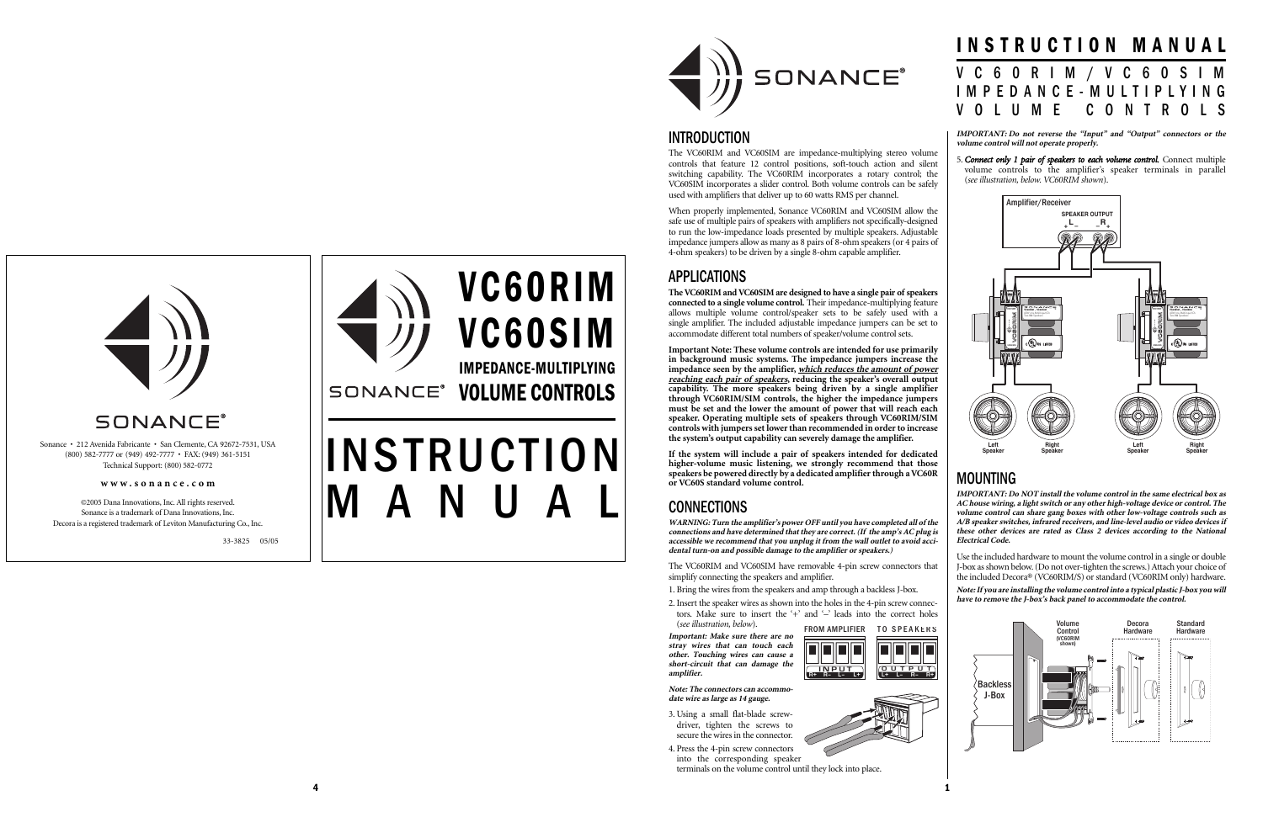

## INTRODUCTION

The VC60RIM and VC60SIM are impedance-multiplying stereo volume controls that feature 12 control positions, soft-touch action and silent switching capability. The VC60RIM incorporates a rotary control; the VC60SIM incorporates a slider control. Both volume controls can be safely used with amplifiers that deliver up to 60 watts RMS per channel.

When properly implemented, Sonance VC60RIM and VC60SIM allow the safe use of multiple pairs of speakers with amplifiers not specifically-designed to run the low-impedance loads presented by multiple speakers. Adjustable impedance jumpers allow as many as 8 pairs of 8-ohm speakers (or 4 pairs of 4-ohm speakers) to be driven by a single 8-ohm capable amplifier.

# APPLICATIONS

**The VC60RIM and VC60SIM are designed to have a single pair of speakers connected to a single volume control.** Their impedance-multiplying feature allows multiple volume control/speaker sets to be safely used with a single amplifier. The included adjustable impedance jumpers can be set to accommodate different total numbers of speaker/volume control sets.

- 1. Bring the wires from the speakers and amp through a backless J-box.
- 2. Insert the speaker wires as shown into the holes in the 4-pin screw connectors. Make sure to insert the '+' and '-' leads into the correct holes
- (*see illustration, below*). FROM AMPLIFIER TO SPEAKERS

**Important Note: These volume controls are intended for use primarily in background music systems. The impedance jumpers increase the impedance seen by the amplifier, which reduces the amount of power reaching each pair of speakers, reducing the speaker's overall output capability. The more speakers being driven by a single amplifier through VC60RIM/SIM controls, the higher the impedance jumpers must be set and the lower the amount of power that will reach each speaker. Operating multiple sets of speakers through VC60RIM/SIM controls with jumpers set lower than recommended in order to increase the system's output capability can severely damage the amplifier.**

**If the system will include a pair of speakers intended for dedicated higher-volume music listening, we strongly recommend that those speakers be powered directly by a dedicated amplifier through a VC60R or VC60S standard volume control.**

# **CONNECTIONS**

**WARNING: Turn the amplifier's power OFF until you have completed all of the connections and have determined that they are correct. (If the amp's AC plug is accessible we recommend that you unplug it from the wall outlet to avoid accidental turn-on and possible damage to the amplifier or speakers.)**

The VC60RIM and VC60SIM have removable 4-pin screw connectors that simplify connecting the speakers and amplifier.

VC60RIM VC60SIM IMPEDANCE-MULTIPLYING SONANCE<sup>®</sup> VOLUME CONTROLS

# **INSTRUCTION** MANUAL

**Important: Make sure there are no stray wires that can touch each other. Touching wires can cause a short-circuit that can damage the amplifier.**

**Note: The connectors can accommodate wire as large as 14 gauge.** 

3. Using a small flat-blade screwdriver, tighten the screws to secure the wires in the connector.

4. Press the 4-pin screw connectors into the corresponding speaker terminals on the volume control until they lock into place.





**IMPORTANT: Do not reverse the "Input" and "Output" connectors or the volume control will not operate properly.**

5. *Connect only 1 pair of speakers to each volume control.* Connect multiple volume controls to the amplifier's speaker terminals in parallel (*see illustration, below. VC60RIM shown*).

# MOUNTING

**IMPORTANT: Do NOT install the volume control in the same electrical box as AC house wiring, a light switch or any other high-voltage device or control. The volume control can share gang boxes with other low-voltage controls such as A/B speaker switches, infrared receivers, and line-level audio or video devices if these other devices are rated as Class 2 devices according to the National Electrical Code.**

Use the included hardware to mount the volume control in a single or double J-box as shown below. (Do not over-tighten the screws.) Attach your choice of the included Decora® (VC60RIM/S) or standard (VC60RIM only) hardware.

**Note: If you are installing the volume control into a typical plastic J-box you will have to remove the J-box's back panel to accommodate the control.**

# INSTRUCTION MANUAL VC60RIM/VC60SIM IMPEDANCE-MULTIPLYING VOLUME CONTROLS





Sonance • 212 Avenida Fabricante • San Clemente, CA 92672-7531, USA (800) 582-7777 or (949) 492-7777 • FAX: (949) 361-5151 Technical Support: (800) 582-0772





©2005 Dana Innovations, Inc. All rights reserved. Sonance is a trademark of Dana Innovations, Inc. Decora is a registered trademark of Leviton Manufacturing Co., Inc.

**www.sonance.com**

33-3825 05/05

4